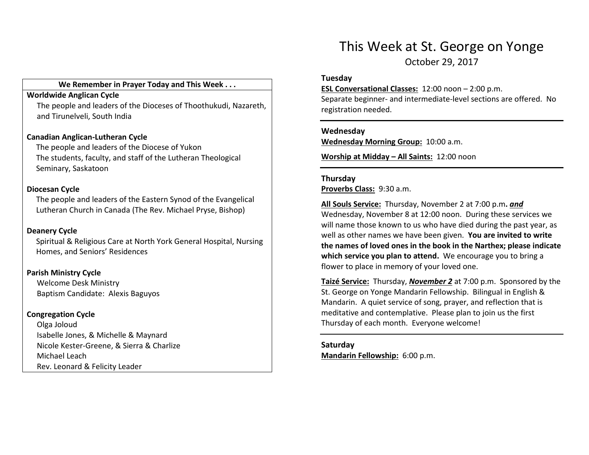#### We Remember in Prayer Today and This Week . . .

#### Worldwide Anglican Cycle

 The people and leaders of the Dioceses of Thoothukudi, Nazareth, and Tirunelveli, South India

### Canadian Anglican-Lutheran Cycle

The people and leaders of the Diocese of Yukon The students, faculty, and staff of the Lutheran Theological Seminary, Saskatoon

#### Diocesan Cycle

The people and leaders of the Eastern Synod of the Evangelical Lutheran Church in Canada (The Rev. Michael Pryse, Bishop)

#### Deanery Cycle

Spiritual & Religious Care at North York General Hospital, Nursing Homes, and Seniors' Residences

#### Parish Ministry Cycle

Welcome Desk Ministry Baptism Candidate: Alexis Baguyos

#### Congregation Cycle

Olga Joloud Isabelle Jones, & Michelle & Maynard Nicole Kester-Greene, & Sierra & Charlize Michael Leach Rev. Leonard & Felicity Leader

# This Week at St. George on Yonge

October 29, 2017

#### Tuesday

ESL Conversational Classes: 12:00 noon – 2:00 p.m.

Separate beginner- and intermediate-level sections are offered. No registration needed.

#### Wednesday

Wednesday Morning Group: 10:00 a.m.

Worship at Midday – All Saints: 12:00 noon

#### Thursday

Proverbs Class: 9:30 a.m.

**<u>All Souls Service:</u> Thursday, November 2 at 7:00 p.m. <u>and</u>**  Wednesday, November 8 at 12:00 noon. During these services we will name those known to us who have died during the past year, as well as other names we have been given. You are invited to write the names of loved ones in the book in the Narthex; please indicate which service you plan to attend. We encourage you to bring a flower to place in memory of your loved one.

Taizé Service: Thursday, November 2 at 7:00 p.m. Sponsored by the St. George on Yonge Mandarin Fellowship. Bilingual in English & Mandarin. A quiet service of song, prayer, and reflection that is meditative and contemplative. Please plan to join us the first Thursday of each month. Everyone welcome!

Saturday Mandarin Fellowship: 6:00 p.m.